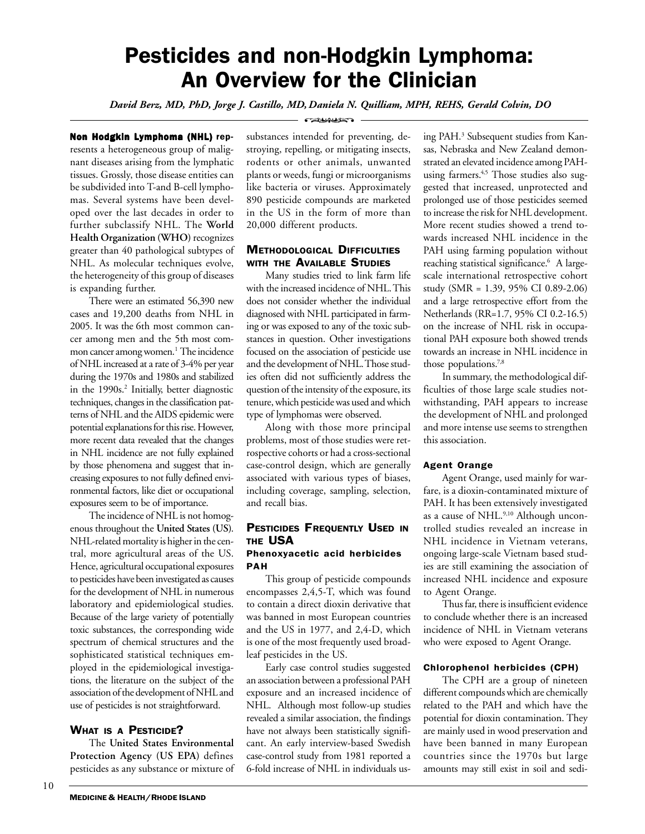# Pesticides and non-Hodgkin Lymphoma: An Overview for the Clinician

*David Berz, MD, PhD, Jorge J. Castillo, MD, Daniela N. Quilliam, MPH, REHS, Gerald Colvin, DO*

Non Hodgkin Lymphoma (NHL) represents a heterogeneous group of malignant diseases arising from the lymphatic tissues. Grossly, those disease entities can be subdivided into T-and B-cell lymphomas. Several systems have been developed over the last decades in order to further subclassify NHL. The **World Health Organization (WHO)** recognizes greater than 40 pathological subtypes of NHL. As molecular techniques evolve, the heterogeneity of this group of diseases is expanding further.

There were an estimated 56,390 new cases and 19,200 deaths from NHL in 2005. It was the 6th most common cancer among men and the 5th most common cancer among women.<sup>1</sup> The incidence of NHL increased at a rate of 3-4% per year during the 1970s and 1980s and stabilized in the 1990s.<sup>2</sup> Initially, better diagnostic techniques, changes in the classification patterns of NHL and the AIDS epidemic were potential explanations for this rise. However, more recent data revealed that the changes in NHL incidence are not fully explained by those phenomena and suggest that increasing exposures to not fully defined environmental factors, like diet or occupational exposures seem to be of importance.

The incidence of NHL is not homogenous throughout the **United States (US)**. NHL-related mortality is higher in the central, more agricultural areas of the US. Hence, agricultural occupational exposures to pesticides have been investigated as causes for the development of NHL in numerous laboratory and epidemiological studies. Because of the large variety of potentially toxic substances, the corresponding wide spectrum of chemical structures and the sophisticated statistical techniques employed in the epidemiological investigations, the literature on the subject of the association of the development of NHL and use of pesticides is not straightforward.

# WHAT IS A **PESTICIDE?**

The **United States Environmental Protection Agency (US EPA)** defines pesticides as any substance or mixture of **CELLING** 

substances intended for preventing, destroying, repelling, or mitigating insects, rodents or other animals, unwanted plants or weeds, fungi or microorganisms like bacteria or viruses. Approximately 890 pesticide compounds are marketed in the US in the form of more than 20,000 different products.

# **METHODOLOGICAL DIFFICULTIES** WITH THE AVAILABLE STUDIES

Many studies tried to link farm life with the increased incidence of NHL. This does not consider whether the individual diagnosed with NHL participated in farming or was exposed to any of the toxic substances in question. Other investigations focused on the association of pesticide use and the development of NHL. Those studies often did not sufficiently address the question of the intensity of the exposure, its tenure, which pesticide was used and which type of lymphomas were observed.

Along with those more principal problems, most of those studies were retrospective cohorts or had a cross-sectional case-control design, which are generally associated with various types of biases, including coverage, sampling, selection, and recall bias.

# PESTICIDES FREQUENTLY USED IN THE USA

# Phenoxyacetic acid herbicides PAH

This group of pesticide compounds encompasses 2,4,5-T, which was found to contain a direct dioxin derivative that was banned in most European countries and the US in 1977, and 2,4-D, which is one of the most frequently used broadleaf pesticides in the US.

Early case control studies suggested an association between a professional PAH exposure and an increased incidence of NHL. Although most follow-up studies revealed a similar association, the findings have not always been statistically significant. An early interview-based Swedish case-control study from 1981 reported a 6-fold increase of NHL in individuals using PAH.<sup>3</sup> Subsequent studies from Kansas, Nebraska and New Zealand demonstrated an elevated incidence among PAHusing farmers.<sup>4,5</sup> Those studies also suggested that increased, unprotected and prolonged use of those pesticides seemed to increase the risk for NHL development. More recent studies showed a trend towards increased NHL incidence in the PAH using farming population without reaching statistical significance.<sup>6</sup> A largescale international retrospective cohort study (SMR = 1.39, 95% CI 0.89-2.06) and a large retrospective effort from the Netherlands (RR=1.7, 95% CI 0.2-16.5) on the increase of NHL risk in occupational PAH exposure both showed trends towards an increase in NHL incidence in those populations.<sup>7,8</sup>

In summary, the methodological difficulties of those large scale studies notwithstanding, PAH appears to increase the development of NHL and prolonged and more intense use seems to strengthen this association.

# Agent Orange

Agent Orange, used mainly for warfare, is a dioxin-contaminated mixture of PAH. It has been extensively investigated as a cause of NHL.<sup>9,10</sup> Although uncontrolled studies revealed an increase in NHL incidence in Vietnam veterans, ongoing large-scale Vietnam based studies are still examining the association of increased NHL incidence and exposure to Agent Orange.

Thus far, there is insufficient evidence to conclude whether there is an increased incidence of NHL in Vietnam veterans who were exposed to Agent Orange.

# Chlorophenol herbicides (CPH)

The CPH are a group of nineteen different compounds which are chemically related to the PAH and which have the potential for dioxin contamination. They are mainly used in wood preservation and have been banned in many European countries since the 1970s but large amounts may still exist in soil and sedi-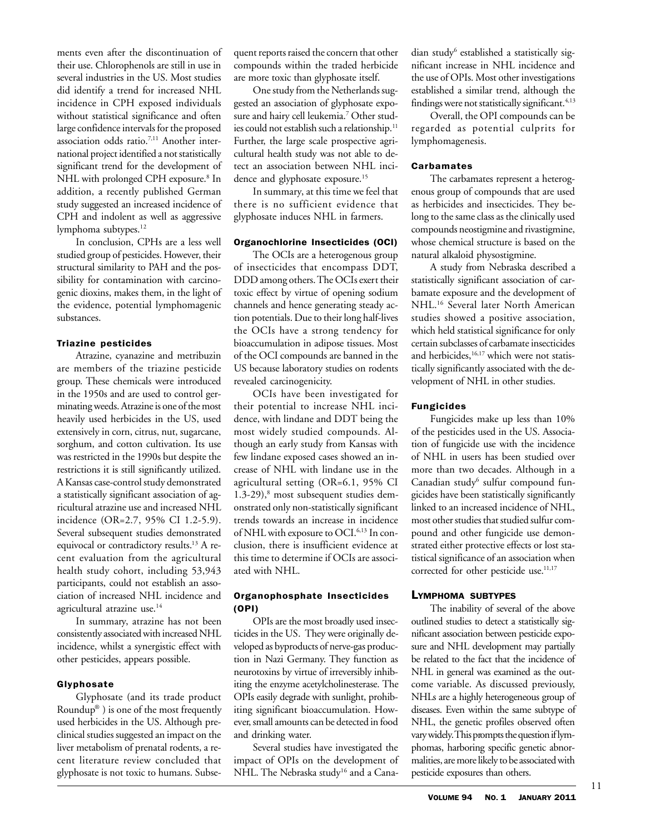ments even after the discontinuation of their use. Chlorophenols are still in use in several industries in the US. Most studies did identify a trend for increased NHL incidence in CPH exposed individuals without statistical significance and often large confidence intervals for the proposed association odds ratio.7,11 Another international project identified a not statistically significant trend for the development of NHL with prolonged CPH exposure.<sup>8</sup> In addition, a recently published German study suggested an increased incidence of CPH and indolent as well as aggressive lymphoma subtypes.<sup>12</sup>

In conclusion, CPHs are a less well studied group of pesticides. However, their structural similarity to PAH and the possibility for contamination with carcinogenic dioxins, makes them, in the light of the evidence, potential lymphomagenic substances.

#### Triazine pesticides

Atrazine, cyanazine and metribuzin are members of the triazine pesticide group. These chemicals were introduced in the 1950s and are used to control germinating weeds. Atrazine is one of the most heavily used herbicides in the US, used extensively in corn, citrus, nut, sugarcane, sorghum, and cotton cultivation. Its use was restricted in the 1990s but despite the restrictions it is still significantly utilized. A Kansas case-control study demonstrated a statistically significant association of agricultural atrazine use and increased NHL incidence (OR=2.7, 95% CI 1.2-5.9). Several subsequent studies demonstrated equivocal or contradictory results.13 A recent evaluation from the agricultural health study cohort, including 53,943 participants, could not establish an association of increased NHL incidence and agricultural atrazine use.14

In summary, atrazine has not been consistently associated with increased NHL incidence, whilst a synergistic effect with other pesticides, appears possible.

# Glyphosate

Glyphosate (and its trade product Roundup® ) is one of the most frequently used herbicides in the US. Although preclinical studies suggested an impact on the liver metabolism of prenatal rodents, a recent literature review concluded that glyphosate is not toxic to humans. Subsequent reports raised the concern that other compounds within the traded herbicide are more toxic than glyphosate itself.

One study from the Netherlands suggested an association of glyphosate exposure and hairy cell leukemia.7 Other studies could not establish such a relationship.<sup>11</sup> Further, the large scale prospective agricultural health study was not able to detect an association between NHL incidence and glyphosate exposure.<sup>15</sup>

In summary, at this time we feel that there is no sufficient evidence that glyphosate induces NHL in farmers.

#### Organochlorine Insecticides (OCI)

The OCIs are a heterogenous group of insecticides that encompass DDT, DDD among others. The OCIs exert their toxic effect by virtue of opening sodium channels and hence generating steady action potentials. Due to their long half-lives the OCIs have a strong tendency for bioaccumulation in adipose tissues. Most of the OCI compounds are banned in the US because laboratory studies on rodents revealed carcinogenicity.

OCIs have been investigated for their potential to increase NHL incidence, with lindane and DDT being the most widely studied compounds. Although an early study from Kansas with few lindane exposed cases showed an increase of NHL with lindane use in the agricultural setting (OR=6.1, 95% CI 1.3-29),<sup>8</sup> most subsequent studies demonstrated only non-statistically significant trends towards an increase in incidence of NHL with exposure to OCI.6,13 In conclusion, there is insufficient evidence at this time to determine if OCIs are associated with NHL.

# Organophosphate Insecticides (OPI)

OPIs are the most broadly used insecticides in the US. They were originally developed as byproducts of nerve-gas production in Nazi Germany. They function as neurotoxins by virtue of irreversibly inhibiting the enzyme acetylcholinesterase. The OPIs easily degrade with sunlight, prohibiting significant bioaccumulation. However, small amounts can be detected in food and drinking water.

Several studies have investigated the impact of OPIs on the development of NHL. The Nebraska study<sup>16</sup> and a Cana-

dian study<sup>6</sup> established a statistically significant increase in NHL incidence and the use of OPIs. Most other investigations established a similar trend, although the findings were not statistically significant.<sup>4,13</sup>

Overall, the OPI compounds can be regarded as potential culprits for lymphomagenesis.

#### Carbamates

The carbamates represent a heterogenous group of compounds that are used as herbicides and insecticides. They belong to the same class as the clinically used compounds neostigmine and rivastigmine, whose chemical structure is based on the natural alkaloid physostigmine.

A study from Nebraska described a statistically significant association of carbamate exposure and the development of NHL.16 Several later North American studies showed a positive association, which held statistical significance for only certain subclasses of carbamate insecticides and herbicides,<sup>16,17</sup> which were not statistically significantly associated with the development of NHL in other studies.

# Fungicides

Fungicides make up less than 10% of the pesticides used in the US. Association of fungicide use with the incidence of NHL in users has been studied over more than two decades. Although in a Canadian study<sup>6</sup> sulfur compound fungicides have been statistically significantly linked to an increased incidence of NHL, most other studies that studied sulfur compound and other fungicide use demonstrated either protective effects or lost statistical significance of an association when corrected for other pesticide use.<sup>11,17</sup>

# LYMPHOMA SUBTYPES

The inability of several of the above outlined studies to detect a statistically significant association between pesticide exposure and NHL development may partially be related to the fact that the incidence of NHL in general was examined as the outcome variable. As discussed previously, NHLs are a highly heterogeneous group of diseases. Even within the same subtype of NHL, the genetic profiles observed often vary widely. This prompts the question if lymphomas, harboring specific genetic abnormalities, are more likely to be associated with pesticide exposures than others.